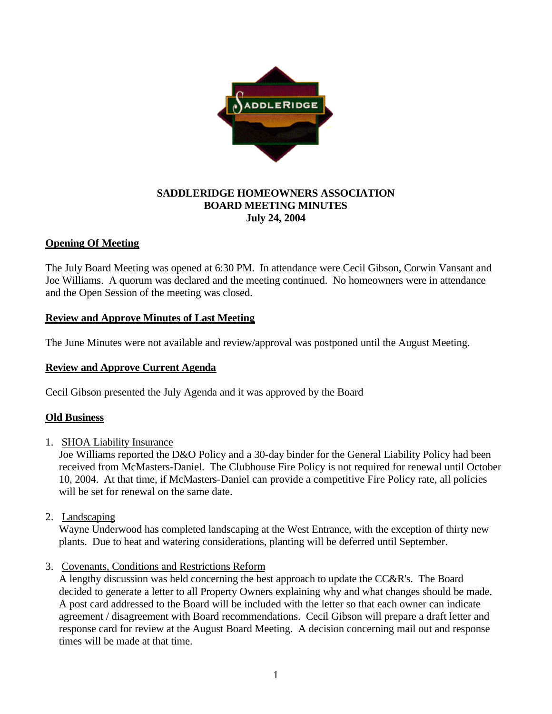

#### **SADDLERIDGE HOMEOWNERS ASSOCIATION BOARD MEETING MINUTES July 24, 2004**

## **Opening Of Meeting**

The July Board Meeting was opened at 6:30 PM. In attendance were Cecil Gibson, Corwin Vansant and Joe Williams. A quorum was declared and the meeting continued. No homeowners were in attendance and the Open Session of the meeting was closed.

## **Review and Approve Minutes of Last Meeting**

The June Minutes were not available and review/approval was postponed until the August Meeting.

#### **Review and Approve Current Agenda**

Cecil Gibson presented the July Agenda and it was approved by the Board

#### **Old Business**

1. SHOA Liability Insurance

Joe Williams reported the D&O Policy and a 30-day binder for the General Liability Policy had been received from McMasters-Daniel. The Clubhouse Fire Policy is not required for renewal until October 10, 2004. At that time, if McMasters-Daniel can provide a competitive Fire Policy rate, all policies will be set for renewal on the same date.

2. Landscaping

Wayne Underwood has completed landscaping at the West Entrance, with the exception of thirty new plants. Due to heat and watering considerations, planting will be deferred until September.

3. Covenants, Conditions and Restrictions Reform

A lengthy discussion was held concerning the best approach to update the CC&R's. The Board decided to generate a letter to all Property Owners explaining why and what changes should be made. A post card addressed to the Board will be included with the letter so that each owner can indicate agreement / disagreement with Board recommendations. Cecil Gibson will prepare a draft letter and response card for review at the August Board Meeting. A decision concerning mail out and response times will be made at that time.